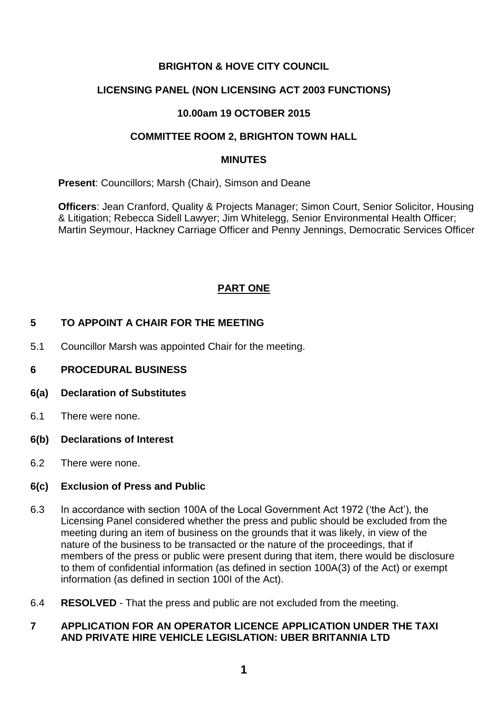# **BRIGHTON & HOVE CITY COUNCIL**

# **LICENSING PANEL (NON LICENSING ACT 2003 FUNCTIONS)**

# **10.00am 19 OCTOBER 2015**

# **COMMITTEE ROOM 2, BRIGHTON TOWN HALL**

#### **MINUTES**

**Present**: Councillors; Marsh (Chair), Simson and Deane

**Officers**: Jean Cranford, Quality & Projects Manager; Simon Court, Senior Solicitor, Housing & Litigation; Rebecca Sidell Lawyer; Jim Whitelegg, Senior Environmental Health Officer; Martin Seymour, Hackney Carriage Officer and Penny Jennings, Democratic Services Officer

# **PART ONE**

# **5 TO APPOINT A CHAIR FOR THE MEETING**

5.1 Councillor Marsh was appointed Chair for the meeting.

## **6 PROCEDURAL BUSINESS**

- **6(a) Declaration of Substitutes**
- 6.1 There were none.
- **6(b) Declarations of Interest**
- 6.2 There were none.

## **6(c) Exclusion of Press and Public**

- 6.3 In accordance with section 100A of the Local Government Act 1972 ('the Act'), the Licensing Panel considered whether the press and public should be excluded from the meeting during an item of business on the grounds that it was likely, in view of the nature of the business to be transacted or the nature of the proceedings, that if members of the press or public were present during that item, there would be disclosure to them of confidential information (as defined in section 100A(3) of the Act) or exempt information (as defined in section 100I of the Act).
- 6.4 **RESOLVED** That the press and public are not excluded from the meeting.

## **7 APPLICATION FOR AN OPERATOR LICENCE APPLICATION UNDER THE TAXI AND PRIVATE HIRE VEHICLE LEGISLATION: UBER BRITANNIA LTD**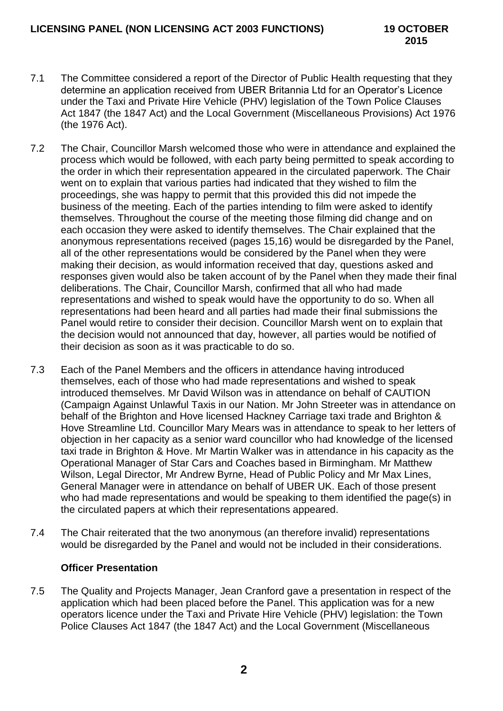- 7.1 The Committee considered a report of the Director of Public Health requesting that they determine an application received from UBER Britannia Ltd for an Operator's Licence under the Taxi and Private Hire Vehicle (PHV) legislation of the Town Police Clauses Act 1847 (the 1847 Act) and the Local Government (Miscellaneous Provisions) Act 1976 (the 1976 Act).
- 7.2 The Chair, Councillor Marsh welcomed those who were in attendance and explained the process which would be followed, with each party being permitted to speak according to the order in which their representation appeared in the circulated paperwork. The Chair went on to explain that various parties had indicated that they wished to film the proceedings, she was happy to permit that this provided this did not impede the business of the meeting. Each of the parties intending to film were asked to identify themselves. Throughout the course of the meeting those filming did change and on each occasion they were asked to identify themselves. The Chair explained that the anonymous representations received (pages 15,16) would be disregarded by the Panel, all of the other representations would be considered by the Panel when they were making their decision, as would information received that day, questions asked and responses given would also be taken account of by the Panel when they made their final deliberations. The Chair, Councillor Marsh, confirmed that all who had made representations and wished to speak would have the opportunity to do so. When all representations had been heard and all parties had made their final submissions the Panel would retire to consider their decision. Councillor Marsh went on to explain that the decision would not announced that day, however, all parties would be notified of their decision as soon as it was practicable to do so.
- 7.3 Each of the Panel Members and the officers in attendance having introduced themselves, each of those who had made representations and wished to speak introduced themselves. Mr David Wilson was in attendance on behalf of CAUTION (Campaign Against Unlawful Taxis in our Nation. Mr John Streeter was in attendance on behalf of the Brighton and Hove licensed Hackney Carriage taxi trade and Brighton & Hove Streamline Ltd. Councillor Mary Mears was in attendance to speak to her letters of objection in her capacity as a senior ward councillor who had knowledge of the licensed taxi trade in Brighton & Hove. Mr Martin Walker was in attendance in his capacity as the Operational Manager of Star Cars and Coaches based in Birmingham. Mr Matthew Wilson, Legal Director, Mr Andrew Byrne, Head of Public Policy and Mr Max Lines, General Manager were in attendance on behalf of UBER UK. Each of those present who had made representations and would be speaking to them identified the page(s) in the circulated papers at which their representations appeared.
- 7.4 The Chair reiterated that the two anonymous (an therefore invalid) representations would be disregarded by the Panel and would not be included in their considerations.

## **Officer Presentation**

7.5 The Quality and Projects Manager, Jean Cranford gave a presentation in respect of the application which had been placed before the Panel. This application was for a new operators licence under the Taxi and Private Hire Vehicle (PHV) legislation: the Town Police Clauses Act 1847 (the 1847 Act) and the Local Government (Miscellaneous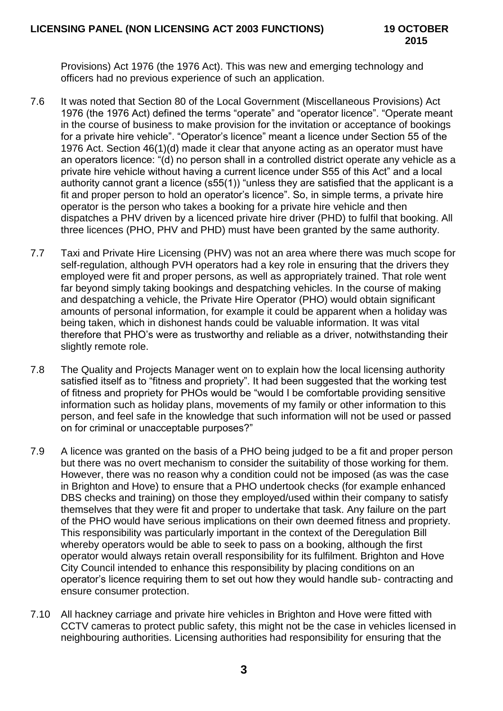Provisions) Act 1976 (the 1976 Act). This was new and emerging technology and officers had no previous experience of such an application.

- 7.6 It was noted that Section 80 of the Local Government (Miscellaneous Provisions) Act 1976 (the 1976 Act) defined the terms "operate" and "operator licence". "Operate meant in the course of business to make provision for the invitation or acceptance of bookings for a private hire vehicle". "Operator's licence" meant a licence under Section 55 of the 1976 Act. Section 46(1)(d) made it clear that anyone acting as an operator must have an operators licence: "(d) no person shall in a controlled district operate any vehicle as a private hire vehicle without having a current licence under S55 of this Act" and a local authority cannot grant a licence (s55(1)) "unless they are satisfied that the applicant is a fit and proper person to hold an operator's licence". So, in simple terms, a private hire operator is the person who takes a booking for a private hire vehicle and then dispatches a PHV driven by a licenced private hire driver (PHD) to fulfil that booking. All three licences (PHO, PHV and PHD) must have been granted by the same authority.
- 7.7 Taxi and Private Hire Licensing (PHV) was not an area where there was much scope for self-regulation, although PVH operators had a key role in ensuring that the drivers they employed were fit and proper persons, as well as appropriately trained. That role went far beyond simply taking bookings and despatching vehicles. In the course of making and despatching a vehicle, the Private Hire Operator (PHO) would obtain significant amounts of personal information, for example it could be apparent when a holiday was being taken, which in dishonest hands could be valuable information. It was vital therefore that PHO's were as trustworthy and reliable as a driver, notwithstanding their slightly remote role.
- 7.8 The Quality and Projects Manager went on to explain how the local licensing authority satisfied itself as to "fitness and propriety". It had been suggested that the working test of fitness and propriety for PHOs would be "would I be comfortable providing sensitive information such as holiday plans, movements of my family or other information to this person, and feel safe in the knowledge that such information will not be used or passed on for criminal or unacceptable purposes?"
- 7.9 A licence was granted on the basis of a PHO being judged to be a fit and proper person but there was no overt mechanism to consider the suitability of those working for them. However, there was no reason why a condition could not be imposed (as was the case in Brighton and Hove) to ensure that a PHO undertook checks (for example enhanced DBS checks and training) on those they employed/used within their company to satisfy themselves that they were fit and proper to undertake that task. Any failure on the part of the PHO would have serious implications on their own deemed fitness and propriety. This responsibility was particularly important in the context of the Deregulation Bill whereby operators would be able to seek to pass on a booking, although the first operator would always retain overall responsibility for its fulfilment. Brighton and Hove City Council intended to enhance this responsibility by placing conditions on an operator's licence requiring them to set out how they would handle sub- contracting and ensure consumer protection.
- 7.10 All hackney carriage and private hire vehicles in Brighton and Hove were fitted with CCTV cameras to protect public safety, this might not be the case in vehicles licensed in neighbouring authorities. Licensing authorities had responsibility for ensuring that the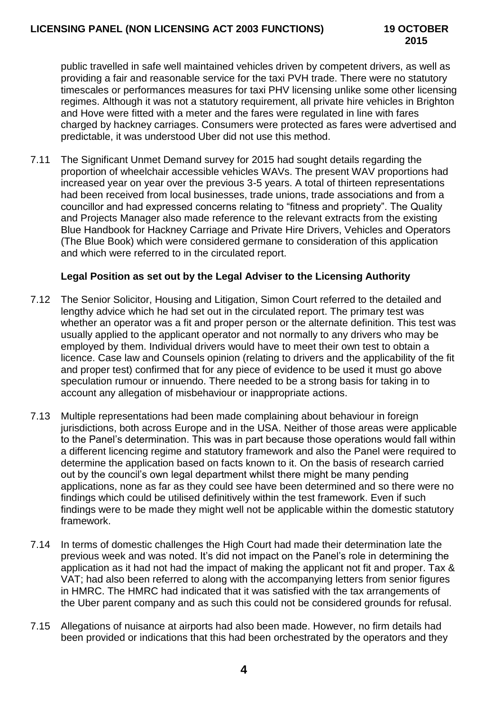public travelled in safe well maintained vehicles driven by competent drivers, as well as providing a fair and reasonable service for the taxi PVH trade. There were no statutory timescales or performances measures for taxi PHV licensing unlike some other licensing regimes. Although it was not a statutory requirement, all private hire vehicles in Brighton and Hove were fitted with a meter and the fares were regulated in line with fares charged by hackney carriages. Consumers were protected as fares were advertised and predictable, it was understood Uber did not use this method.

7.11 The Significant Unmet Demand survey for 2015 had sought details regarding the proportion of wheelchair accessible vehicles WAVs. The present WAV proportions had increased year on year over the previous 3-5 years. A total of thirteen representations had been received from local businesses, trade unions, trade associations and from a councillor and had expressed concerns relating to "fitness and propriety". The Quality and Projects Manager also made reference to the relevant extracts from the existing Blue Handbook for Hackney Carriage and Private Hire Drivers, Vehicles and Operators (The Blue Book) which were considered germane to consideration of this application and which were referred to in the circulated report.

## **Legal Position as set out by the Legal Adviser to the Licensing Authority**

- 7.12 The Senior Solicitor, Housing and Litigation, Simon Court referred to the detailed and lengthy advice which he had set out in the circulated report. The primary test was whether an operator was a fit and proper person or the alternate definition. This test was usually applied to the applicant operator and not normally to any drivers who may be employed by them. Individual drivers would have to meet their own test to obtain a licence. Case law and Counsels opinion (relating to drivers and the applicability of the fit and proper test) confirmed that for any piece of evidence to be used it must go above speculation rumour or innuendo. There needed to be a strong basis for taking in to account any allegation of misbehaviour or inappropriate actions.
- 7.13 Multiple representations had been made complaining about behaviour in foreign jurisdictions, both across Europe and in the USA. Neither of those areas were applicable to the Panel's determination. This was in part because those operations would fall within a different licencing regime and statutory framework and also the Panel were required to determine the application based on facts known to it. On the basis of research carried out by the council's own legal department whilst there might be many pending applications, none as far as they could see have been determined and so there were no findings which could be utilised definitively within the test framework. Even if such findings were to be made they might well not be applicable within the domestic statutory framework.
- 7.14 In terms of domestic challenges the High Court had made their determination late the previous week and was noted. It's did not impact on the Panel's role in determining the application as it had not had the impact of making the applicant not fit and proper. Tax & VAT; had also been referred to along with the accompanying letters from senior figures in HMRC. The HMRC had indicated that it was satisfied with the tax arrangements of the Uber parent company and as such this could not be considered grounds for refusal.
- 7.15 Allegations of nuisance at airports had also been made. However, no firm details had been provided or indications that this had been orchestrated by the operators and they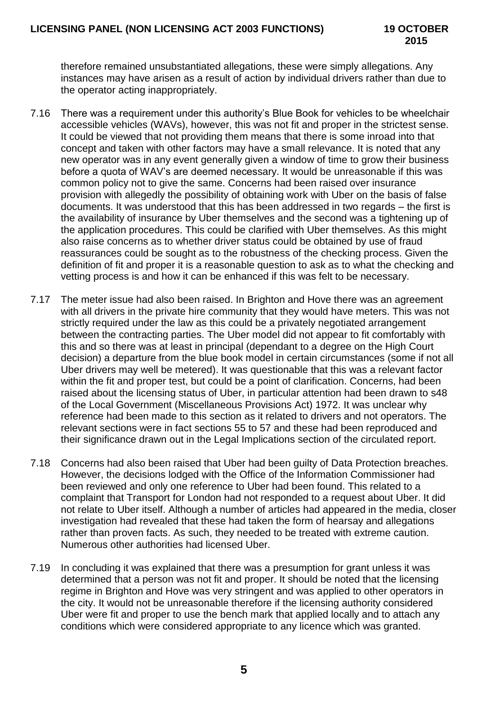therefore remained unsubstantiated allegations, these were simply allegations. Any instances may have arisen as a result of action by individual drivers rather than due to the operator acting inappropriately.

- 7.16 There was a requirement under this authority's Blue Book for vehicles to be wheelchair accessible vehicles (WAVs), however, this was not fit and proper in the strictest sense. It could be viewed that not providing them means that there is some inroad into that concept and taken with other factors may have a small relevance. It is noted that any new operator was in any event generally given a window of time to grow their business before a quota of WAV's are deemed necessary. It would be unreasonable if this was common policy not to give the same. Concerns had been raised over insurance provision with allegedly the possibility of obtaining work with Uber on the basis of false documents. It was understood that this has been addressed in two regards – the first is the availability of insurance by Uber themselves and the second was a tightening up of the application procedures. This could be clarified with Uber themselves. As this might also raise concerns as to whether driver status could be obtained by use of fraud reassurances could be sought as to the robustness of the checking process. Given the definition of fit and proper it is a reasonable question to ask as to what the checking and vetting process is and how it can be enhanced if this was felt to be necessary.
- 7.17 The meter issue had also been raised. In Brighton and Hove there was an agreement with all drivers in the private hire community that they would have meters. This was not strictly required under the law as this could be a privately negotiated arrangement between the contracting parties. The Uber model did not appear to fit comfortably with this and so there was at least in principal (dependant to a degree on the High Court decision) a departure from the blue book model in certain circumstances (some if not all Uber drivers may well be metered). It was questionable that this was a relevant factor within the fit and proper test, but could be a point of clarification. Concerns, had been raised about the licensing status of Uber, in particular attention had been drawn to s48 of the Local Government (Miscellaneous Provisions Act) 1972. It was unclear why reference had been made to this section as it related to drivers and not operators. The relevant sections were in fact sections 55 to 57 and these had been reproduced and their significance drawn out in the Legal Implications section of the circulated report.
- 7.18 Concerns had also been raised that Uber had been guilty of Data Protection breaches. However, the decisions lodged with the Office of the Information Commissioner had been reviewed and only one reference to Uber had been found. This related to a complaint that Transport for London had not responded to a request about Uber. It did not relate to Uber itself. Although a number of articles had appeared in the media, closer investigation had revealed that these had taken the form of hearsay and allegations rather than proven facts. As such, they needed to be treated with extreme caution. Numerous other authorities had licensed Uber.
- 7.19 In concluding it was explained that there was a presumption for grant unless it was determined that a person was not fit and proper. It should be noted that the licensing regime in Brighton and Hove was very stringent and was applied to other operators in the city. It would not be unreasonable therefore if the licensing authority considered Uber were fit and proper to use the bench mark that applied locally and to attach any conditions which were considered appropriate to any licence which was granted.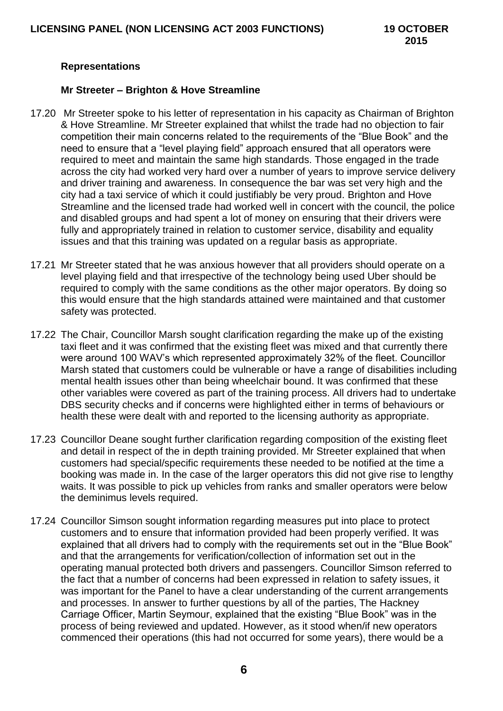# **Representations**

#### **Mr Streeter – Brighton & Hove Streamline**

- 17.20 Mr Streeter spoke to his letter of representation in his capacity as Chairman of Brighton & Hove Streamline. Mr Streeter explained that whilst the trade had no objection to fair competition their main concerns related to the requirements of the "Blue Book" and the need to ensure that a "level playing field" approach ensured that all operators were required to meet and maintain the same high standards. Those engaged in the trade across the city had worked very hard over a number of years to improve service delivery and driver training and awareness. In consequence the bar was set very high and the city had a taxi service of which it could justifiably be very proud. Brighton and Hove Streamline and the licensed trade had worked well in concert with the council, the police and disabled groups and had spent a lot of money on ensuring that their drivers were fully and appropriately trained in relation to customer service, disability and equality issues and that this training was updated on a regular basis as appropriate.
- 17.21 Mr Streeter stated that he was anxious however that all providers should operate on a level playing field and that irrespective of the technology being used Uber should be required to comply with the same conditions as the other major operators. By doing so this would ensure that the high standards attained were maintained and that customer safety was protected.
- 17.22 The Chair, Councillor Marsh sought clarification regarding the make up of the existing taxi fleet and it was confirmed that the existing fleet was mixed and that currently there were around 100 WAV's which represented approximately 32% of the fleet. Councillor Marsh stated that customers could be vulnerable or have a range of disabilities including mental health issues other than being wheelchair bound. It was confirmed that these other variables were covered as part of the training process. All drivers had to undertake DBS security checks and if concerns were highlighted either in terms of behaviours or health these were dealt with and reported to the licensing authority as appropriate.
- 17.23 Councillor Deane sought further clarification regarding composition of the existing fleet and detail in respect of the in depth training provided. Mr Streeter explained that when customers had special/specific requirements these needed to be notified at the time a booking was made in. In the case of the larger operators this did not give rise to lengthy waits. It was possible to pick up vehicles from ranks and smaller operators were below the deminimus levels required.
- 17.24 Councillor Simson sought information regarding measures put into place to protect customers and to ensure that information provided had been properly verified. It was explained that all drivers had to comply with the requirements set out in the "Blue Book" and that the arrangements for verification/collection of information set out in the operating manual protected both drivers and passengers. Councillor Simson referred to the fact that a number of concerns had been expressed in relation to safety issues, it was important for the Panel to have a clear understanding of the current arrangements and processes. In answer to further questions by all of the parties, The Hackney Carriage Officer, Martin Seymour, explained that the existing "Blue Book" was in the process of being reviewed and updated. However, as it stood when/if new operators commenced their operations (this had not occurred for some years), there would be a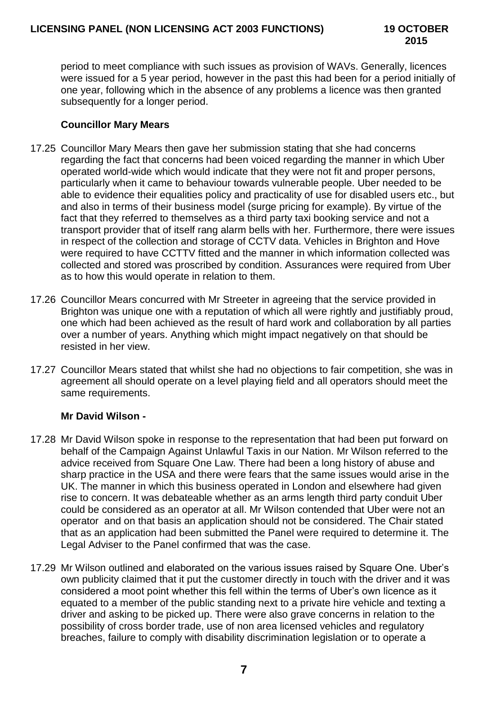period to meet compliance with such issues as provision of WAVs. Generally, licences were issued for a 5 year period, however in the past this had been for a period initially of one year, following which in the absence of any problems a licence was then granted subsequently for a longer period.

# **Councillor Mary Mears**

- 17.25 Councillor Mary Mears then gave her submission stating that she had concerns regarding the fact that concerns had been voiced regarding the manner in which Uber operated world-wide which would indicate that they were not fit and proper persons, particularly when it came to behaviour towards vulnerable people. Uber needed to be able to evidence their equalities policy and practicality of use for disabled users etc., but and also in terms of their business model (surge pricing for example). By virtue of the fact that they referred to themselves as a third party taxi booking service and not a transport provider that of itself rang alarm bells with her. Furthermore, there were issues in respect of the collection and storage of CCTV data. Vehicles in Brighton and Hove were required to have CCTTV fitted and the manner in which information collected was collected and stored was proscribed by condition. Assurances were required from Uber as to how this would operate in relation to them.
- 17.26 Councillor Mears concurred with Mr Streeter in agreeing that the service provided in Brighton was unique one with a reputation of which all were rightly and justifiably proud, one which had been achieved as the result of hard work and collaboration by all parties over a number of years. Anything which might impact negatively on that should be resisted in her view.
- 17.27 Councillor Mears stated that whilst she had no objections to fair competition, she was in agreement all should operate on a level playing field and all operators should meet the same requirements.

## **Mr David Wilson -**

- 17.28 Mr David Wilson spoke in response to the representation that had been put forward on behalf of the Campaign Against Unlawful Taxis in our Nation. Mr Wilson referred to the advice received from Square One Law. There had been a long history of abuse and sharp practice in the USA and there were fears that the same issues would arise in the UK. The manner in which this business operated in London and elsewhere had given rise to concern. It was debateable whether as an arms length third party conduit Uber could be considered as an operator at all. Mr Wilson contended that Uber were not an operator and on that basis an application should not be considered. The Chair stated that as an application had been submitted the Panel were required to determine it. The Legal Adviser to the Panel confirmed that was the case.
- 17.29 Mr Wilson outlined and elaborated on the various issues raised by Square One. Uber's own publicity claimed that it put the customer directly in touch with the driver and it was considered a moot point whether this fell within the terms of Uber's own licence as it equated to a member of the public standing next to a private hire vehicle and texting a driver and asking to be picked up. There were also grave concerns in relation to the possibility of cross border trade, use of non area licensed vehicles and regulatory breaches, failure to comply with disability discrimination legislation or to operate a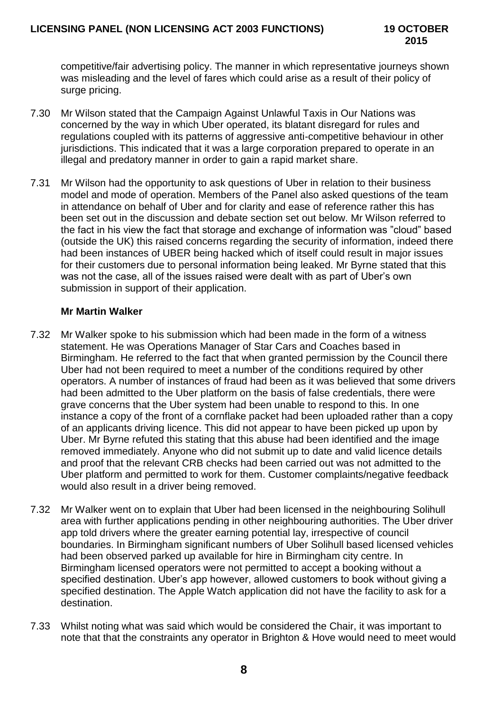competitive/fair advertising policy. The manner in which representative journeys shown was misleading and the level of fares which could arise as a result of their policy of surge pricing.

- 7.30 Mr Wilson stated that the Campaign Against Unlawful Taxis in Our Nations was concerned by the way in which Uber operated, its blatant disregard for rules and regulations coupled with its patterns of aggressive anti-competitive behaviour in other jurisdictions. This indicated that it was a large corporation prepared to operate in an illegal and predatory manner in order to gain a rapid market share.
- 7.31 Mr Wilson had the opportunity to ask questions of Uber in relation to their business model and mode of operation. Members of the Panel also asked questions of the team in attendance on behalf of Uber and for clarity and ease of reference rather this has been set out in the discussion and debate section set out below. Mr Wilson referred to the fact in his view the fact that storage and exchange of information was "cloud" based (outside the UK) this raised concerns regarding the security of information, indeed there had been instances of UBER being hacked which of itself could result in major issues for their customers due to personal information being leaked. Mr Byrne stated that this was not the case, all of the issues raised were dealt with as part of Uber's own submission in support of their application.

## **Mr Martin Walker**

- 7.32 Mr Walker spoke to his submission which had been made in the form of a witness statement. He was Operations Manager of Star Cars and Coaches based in Birmingham. He referred to the fact that when granted permission by the Council there Uber had not been required to meet a number of the conditions required by other operators. A number of instances of fraud had been as it was believed that some drivers had been admitted to the Uber platform on the basis of false credentials, there were grave concerns that the Uber system had been unable to respond to this. In one instance a copy of the front of a cornflake packet had been uploaded rather than a copy of an applicants driving licence. This did not appear to have been picked up upon by Uber. Mr Byrne refuted this stating that this abuse had been identified and the image removed immediately. Anyone who did not submit up to date and valid licence details and proof that the relevant CRB checks had been carried out was not admitted to the Uber platform and permitted to work for them. Customer complaints/negative feedback would also result in a driver being removed.
- 7.32 Mr Walker went on to explain that Uber had been licensed in the neighbouring Solihull area with further applications pending in other neighbouring authorities. The Uber driver app told drivers where the greater earning potential lay, irrespective of council boundaries. In Birmingham significant numbers of Uber Solihull based licensed vehicles had been observed parked up available for hire in Birmingham city centre. In Birmingham licensed operators were not permitted to accept a booking without a specified destination. Uber's app however, allowed customers to book without giving a specified destination. The Apple Watch application did not have the facility to ask for a destination.
- 7.33 Whilst noting what was said which would be considered the Chair, it was important to note that that the constraints any operator in Brighton & Hove would need to meet would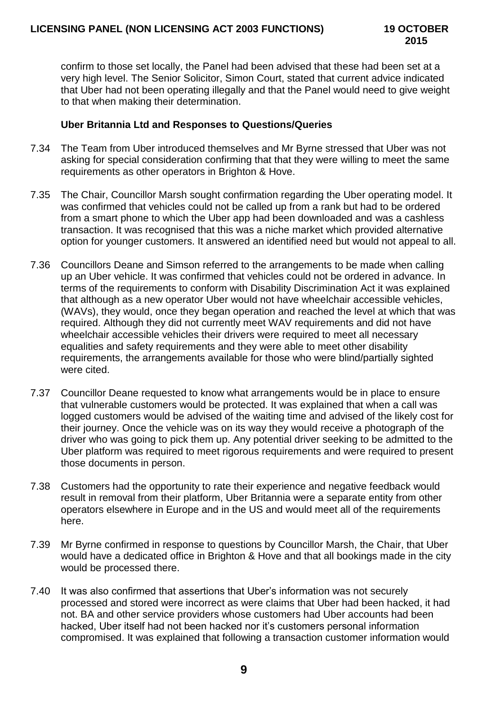confirm to those set locally, the Panel had been advised that these had been set at a very high level. The Senior Solicitor, Simon Court, stated that current advice indicated that Uber had not been operating illegally and that the Panel would need to give weight to that when making their determination.

## **Uber Britannia Ltd and Responses to Questions/Queries**

- 7.34 The Team from Uber introduced themselves and Mr Byrne stressed that Uber was not asking for special consideration confirming that that they were willing to meet the same requirements as other operators in Brighton & Hove.
- 7.35 The Chair, Councillor Marsh sought confirmation regarding the Uber operating model. It was confirmed that vehicles could not be called up from a rank but had to be ordered from a smart phone to which the Uber app had been downloaded and was a cashless transaction. It was recognised that this was a niche market which provided alternative option for younger customers. It answered an identified need but would not appeal to all.
- 7.36 Councillors Deane and Simson referred to the arrangements to be made when calling up an Uber vehicle. It was confirmed that vehicles could not be ordered in advance. In terms of the requirements to conform with Disability Discrimination Act it was explained that although as a new operator Uber would not have wheelchair accessible vehicles, (WAVs), they would, once they began operation and reached the level at which that was required. Although they did not currently meet WAV requirements and did not have wheelchair accessible vehicles their drivers were required to meet all necessary equalities and safety requirements and they were able to meet other disability requirements, the arrangements available for those who were blind/partially sighted were cited.
- 7.37 Councillor Deane requested to know what arrangements would be in place to ensure that vulnerable customers would be protected. It was explained that when a call was logged customers would be advised of the waiting time and advised of the likely cost for their journey. Once the vehicle was on its way they would receive a photograph of the driver who was going to pick them up. Any potential driver seeking to be admitted to the Uber platform was required to meet rigorous requirements and were required to present those documents in person.
- 7.38 Customers had the opportunity to rate their experience and negative feedback would result in removal from their platform, Uber Britannia were a separate entity from other operators elsewhere in Europe and in the US and would meet all of the requirements here.
- 7.39 Mr Byrne confirmed in response to questions by Councillor Marsh, the Chair, that Uber would have a dedicated office in Brighton & Hove and that all bookings made in the city would be processed there.
- 7.40 It was also confirmed that assertions that Uber's information was not securely processed and stored were incorrect as were claims that Uber had been hacked, it had not. BA and other service providers whose customers had Uber accounts had been hacked, Uber itself had not been hacked nor it's customers personal information compromised. It was explained that following a transaction customer information would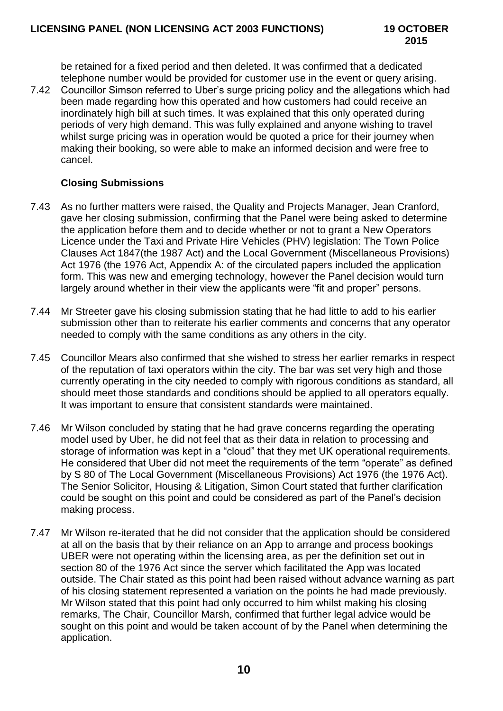be retained for a fixed period and then deleted. It was confirmed that a dedicated telephone number would be provided for customer use in the event or query arising.

7.42 Councillor Simson referred to Uber's surge pricing policy and the allegations which had been made regarding how this operated and how customers had could receive an inordinately high bill at such times. It was explained that this only operated during periods of very high demand. This was fully explained and anyone wishing to travel whilst surge pricing was in operation would be quoted a price for their journey when making their booking, so were able to make an informed decision and were free to cancel.

# **Closing Submissions**

- 7.43 As no further matters were raised, the Quality and Projects Manager, Jean Cranford, gave her closing submission, confirming that the Panel were being asked to determine the application before them and to decide whether or not to grant a New Operators Licence under the Taxi and Private Hire Vehicles (PHV) legislation: The Town Police Clauses Act 1847(the 1987 Act) and the Local Government (Miscellaneous Provisions) Act 1976 (the 1976 Act, Appendix A: of the circulated papers included the application form. This was new and emerging technology, however the Panel decision would turn largely around whether in their view the applicants were "fit and proper" persons.
- 7.44 Mr Streeter gave his closing submission stating that he had little to add to his earlier submission other than to reiterate his earlier comments and concerns that any operator needed to comply with the same conditions as any others in the city.
- 7.45 Councillor Mears also confirmed that she wished to stress her earlier remarks in respect of the reputation of taxi operators within the city. The bar was set very high and those currently operating in the city needed to comply with rigorous conditions as standard, all should meet those standards and conditions should be applied to all operators equally. It was important to ensure that consistent standards were maintained.
- 7.46 Mr Wilson concluded by stating that he had grave concerns regarding the operating model used by Uber, he did not feel that as their data in relation to processing and storage of information was kept in a "cloud" that they met UK operational requirements. He considered that Uber did not meet the requirements of the term "operate" as defined by S 80 of The Local Government (Miscellaneous Provisions) Act 1976 (the 1976 Act). The Senior Solicitor, Housing & Litigation, Simon Court stated that further clarification could be sought on this point and could be considered as part of the Panel's decision making process.
- 7.47 Mr Wilson re-iterated that he did not consider that the application should be considered at all on the basis that by their reliance on an App to arrange and process bookings UBER were not operating within the licensing area, as per the definition set out in section 80 of the 1976 Act since the server which facilitated the App was located outside. The Chair stated as this point had been raised without advance warning as part of his closing statement represented a variation on the points he had made previously. Mr Wilson stated that this point had only occurred to him whilst making his closing remarks, The Chair, Councillor Marsh, confirmed that further legal advice would be sought on this point and would be taken account of by the Panel when determining the application.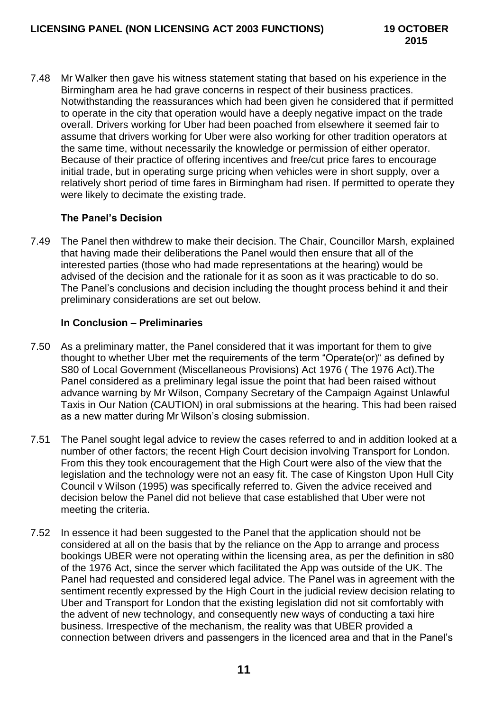7.48 Mr Walker then gave his witness statement stating that based on his experience in the Birmingham area he had grave concerns in respect of their business practices. Notwithstanding the reassurances which had been given he considered that if permitted to operate in the city that operation would have a deeply negative impact on the trade overall. Drivers working for Uber had been poached from elsewhere it seemed fair to assume that drivers working for Uber were also working for other tradition operators at the same time, without necessarily the knowledge or permission of either operator. Because of their practice of offering incentives and free/cut price fares to encourage initial trade, but in operating surge pricing when vehicles were in short supply, over a relatively short period of time fares in Birmingham had risen. If permitted to operate they were likely to decimate the existing trade.

# **The Panel's Decision**

7.49 The Panel then withdrew to make their decision. The Chair, Councillor Marsh, explained that having made their deliberations the Panel would then ensure that all of the interested parties (those who had made representations at the hearing) would be advised of the decision and the rationale for it as soon as it was practicable to do so. The Panel's conclusions and decision including the thought process behind it and their preliminary considerations are set out below.

# **In Conclusion – Preliminaries**

- 7.50 As a preliminary matter, the Panel considered that it was important for them to give thought to whether Uber met the requirements of the term "Operate(or)" as defined by S80 of Local Government (Miscellaneous Provisions) Act 1976 ( The 1976 Act).The Panel considered as a preliminary legal issue the point that had been raised without advance warning by Mr Wilson, Company Secretary of the Campaign Against Unlawful Taxis in Our Nation (CAUTION) in oral submissions at the hearing. This had been raised as a new matter during Mr Wilson's closing submission.
- 7.51 The Panel sought legal advice to review the cases referred to and in addition looked at a number of other factors; the recent High Court decision involving Transport for London. From this they took encouragement that the High Court were also of the view that the legislation and the technology were not an easy fit. The case of Kingston Upon Hull City Council v Wilson (1995) was specifically referred to. Given the advice received and decision below the Panel did not believe that case established that Uber were not meeting the criteria.
- 7.52 In essence it had been suggested to the Panel that the application should not be considered at all on the basis that by the reliance on the App to arrange and process bookings UBER were not operating within the licensing area, as per the definition in s80 of the 1976 Act, since the server which facilitated the App was outside of the UK. The Panel had requested and considered legal advice. The Panel was in agreement with the sentiment recently expressed by the High Court in the judicial review decision relating to Uber and Transport for London that the existing legislation did not sit comfortably with the advent of new technology, and consequently new ways of conducting a taxi hire business. Irrespective of the mechanism, the reality was that UBER provided a connection between drivers and passengers in the licenced area and that in the Panel's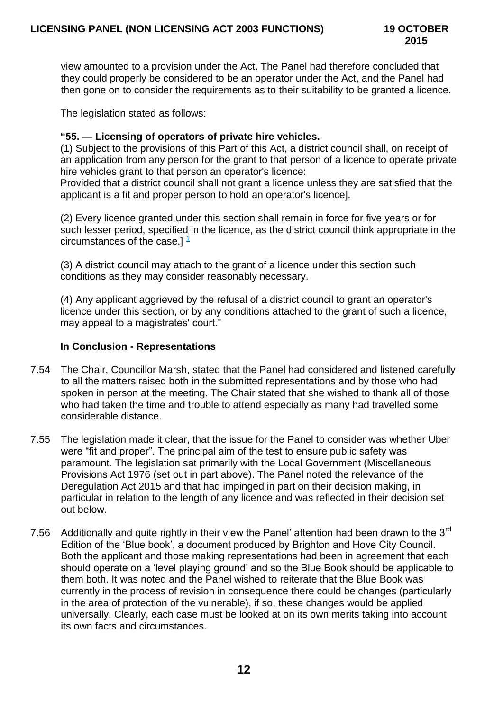view amounted to a provision under the Act. The Panel had therefore concluded that they could properly be considered to be an operator under the Act, and the Panel had then gone on to consider the requirements as to their suitability to be granted a licence.

The legislation stated as follows:

## **"55. — Licensing of operators of private hire vehicles.**

(1) Subject to the provisions of this Part of this Act, a district council shall, on receipt of an application from any person for the grant to that person of a licence to operate private hire vehicles grant to that person an operator's licence:

Provided that a district council shall not grant a licence unless they are satisfied that the applicant is a fit and proper person to hold an operator's licence].

(2) Every licence granted under this section shall remain in force for five years or for such lesser period, specified in the licence, as the district council think appropriate in the circumstances of the case.]  $<sup>1</sup>$  $<sup>1</sup>$  $<sup>1</sup>$ </sup>

(3) A district council may attach to the grant of a licence under this section such conditions as they may consider reasonably necessary.

(4) Any applicant aggrieved by the refusal of a district council to grant an operator's licence under this section, or by any conditions attached to the grant of such a licence, may appeal to a magistrates' court."

## **In Conclusion - Representations**

- 7.54 The Chair, Councillor Marsh, stated that the Panel had considered and listened carefully to all the matters raised both in the submitted representations and by those who had spoken in person at the meeting. The Chair stated that she wished to thank all of those who had taken the time and trouble to attend especially as many had travelled some considerable distance.
- 7.55 The legislation made it clear, that the issue for the Panel to consider was whether Uber were "fit and proper". The principal aim of the test to ensure public safety was paramount. The legislation sat primarily with the Local Government (Miscellaneous Provisions Act 1976 (set out in part above). The Panel noted the relevance of the Deregulation Act 2015 and that had impinged in part on their decision making, in particular in relation to the length of any licence and was reflected in their decision set out below.
- 7.56 Additionally and quite rightly in their view the Panel' attention had been drawn to the  $3<sup>rd</sup>$ Edition of the 'Blue book', a document produced by Brighton and Hove City Council. Both the applicant and those making representations had been in agreement that each should operate on a 'level playing ground' and so the Blue Book should be applicable to them both. It was noted and the Panel wished to reiterate that the Blue Book was currently in the process of revision in consequence there could be changes (particularly in the area of protection of the vulnerable), if so, these changes would be applied universally. Clearly, each case must be looked at on its own merits taking into account its own facts and circumstances.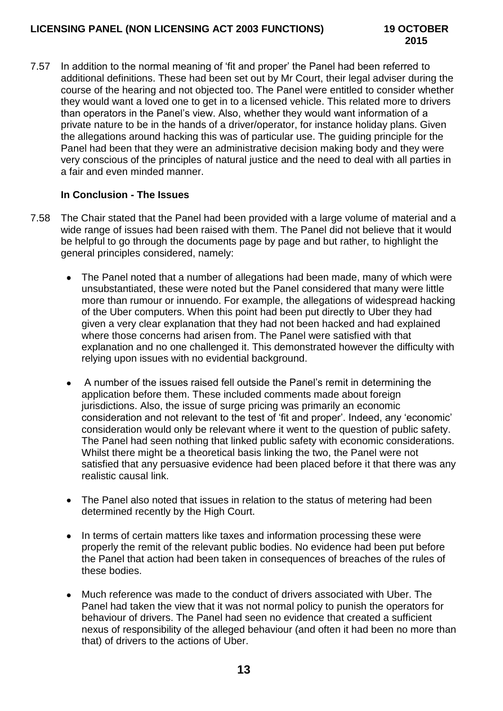7.57 In addition to the normal meaning of 'fit and proper' the Panel had been referred to additional definitions. These had been set out by Mr Court, their legal adviser during the course of the hearing and not objected too. The Panel were entitled to consider whether they would want a loved one to get in to a licensed vehicle. This related more to drivers than operators in the Panel's view. Also, whether they would want information of a private nature to be in the hands of a driver/operator, for instance holiday plans. Given the allegations around hacking this was of particular use. The guiding principle for the Panel had been that they were an administrative decision making body and they were very conscious of the principles of natural justice and the need to deal with all parties in a fair and even minded manner.

## **In Conclusion - The Issues**

- 7.58 The Chair stated that the Panel had been provided with a large volume of material and a wide range of issues had been raised with them. The Panel did not believe that it would be helpful to go through the documents page by page and but rather, to highlight the general principles considered, namely:
	- The Panel noted that a number of allegations had been made, many of which were unsubstantiated, these were noted but the Panel considered that many were little more than rumour or innuendo. For example, the allegations of widespread hacking of the Uber computers. When this point had been put directly to Uber they had given a very clear explanation that they had not been hacked and had explained where those concerns had arisen from. The Panel were satisfied with that explanation and no one challenged it. This demonstrated however the difficulty with relying upon issues with no evidential background.
	- A number of the issues raised fell outside the Panel's remit in determining the  $\bullet$ application before them. These included comments made about foreign jurisdictions. Also, the issue of surge pricing was primarily an economic consideration and not relevant to the test of 'fit and proper'. Indeed, any 'economic' consideration would only be relevant where it went to the question of public safety. The Panel had seen nothing that linked public safety with economic considerations. Whilst there might be a theoretical basis linking the two, the Panel were not satisfied that any persuasive evidence had been placed before it that there was any realistic causal link.
	- The Panel also noted that issues in relation to the status of metering had been determined recently by the High Court.
	- In terms of certain matters like taxes and information processing these were properly the remit of the relevant public bodies. No evidence had been put before the Panel that action had been taken in consequences of breaches of the rules of these bodies.
	- Much reference was made to the conduct of drivers associated with Uber. The Panel had taken the view that it was not normal policy to punish the operators for behaviour of drivers. The Panel had seen no evidence that created a sufficient nexus of responsibility of the alleged behaviour (and often it had been no more than that) of drivers to the actions of Uber.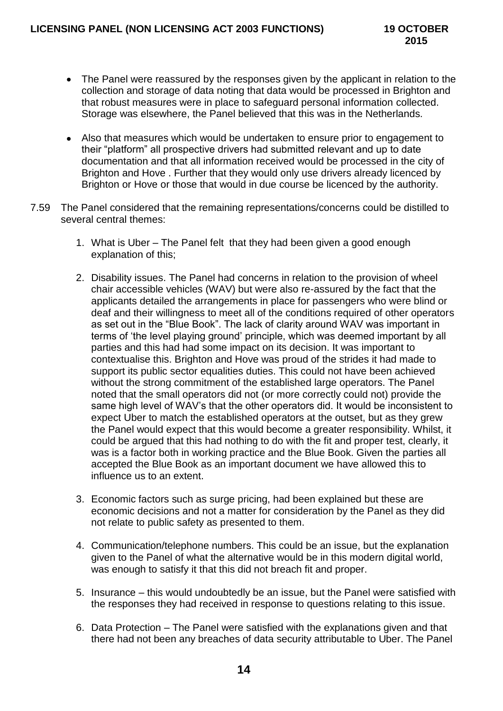- The Panel were reassured by the responses given by the applicant in relation to the collection and storage of data noting that data would be processed in Brighton and that robust measures were in place to safeguard personal information collected. Storage was elsewhere, the Panel believed that this was in the Netherlands.
- Also that measures which would be undertaken to ensure prior to engagement to their "platform" all prospective drivers had submitted relevant and up to date documentation and that all information received would be processed in the city of Brighton and Hove . Further that they would only use drivers already licenced by Brighton or Hove or those that would in due course be licenced by the authority.
- 7.59 The Panel considered that the remaining representations/concerns could be distilled to several central themes:
	- 1. What is Uber The Panel felt that they had been given a good enough explanation of this;
	- 2. Disability issues. The Panel had concerns in relation to the provision of wheel chair accessible vehicles (WAV) but were also re-assured by the fact that the applicants detailed the arrangements in place for passengers who were blind or deaf and their willingness to meet all of the conditions required of other operators as set out in the "Blue Book". The lack of clarity around WAV was important in terms of 'the level playing ground' principle, which was deemed important by all parties and this had had some impact on its decision. It was important to contextualise this. Brighton and Hove was proud of the strides it had made to support its public sector equalities duties. This could not have been achieved without the strong commitment of the established large operators. The Panel noted that the small operators did not (or more correctly could not) provide the same high level of WAV's that the other operators did. It would be inconsistent to expect Uber to match the established operators at the outset, but as they grew the Panel would expect that this would become a greater responsibility. Whilst, it could be argued that this had nothing to do with the fit and proper test, clearly, it was is a factor both in working practice and the Blue Book. Given the parties all accepted the Blue Book as an important document we have allowed this to influence us to an extent.
	- 3. Economic factors such as surge pricing, had been explained but these are economic decisions and not a matter for consideration by the Panel as they did not relate to public safety as presented to them.
	- 4. Communication/telephone numbers. This could be an issue, but the explanation given to the Panel of what the alternative would be in this modern digital world, was enough to satisfy it that this did not breach fit and proper.
	- 5. Insurance this would undoubtedly be an issue, but the Panel were satisfied with the responses they had received in response to questions relating to this issue.
	- 6. Data Protection The Panel were satisfied with the explanations given and that there had not been any breaches of data security attributable to Uber. The Panel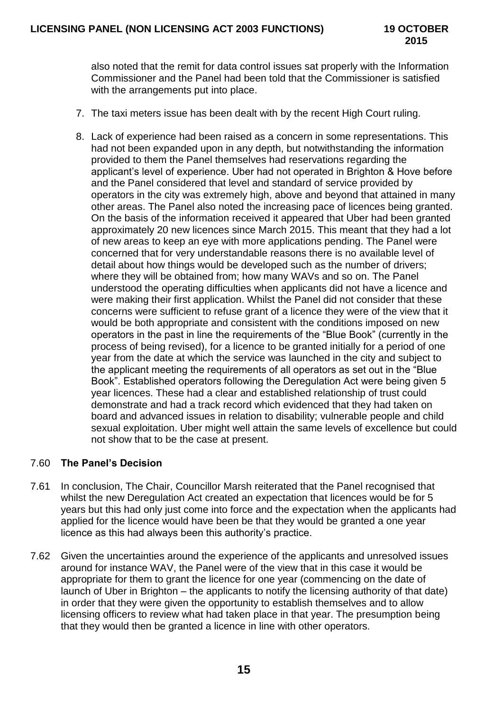also noted that the remit for data control issues sat properly with the Information Commissioner and the Panel had been told that the Commissioner is satisfied with the arrangements put into place.

- 7. The taxi meters issue has been dealt with by the recent High Court ruling.
- 8. Lack of experience had been raised as a concern in some representations. This had not been expanded upon in any depth, but notwithstanding the information provided to them the Panel themselves had reservations regarding the applicant's level of experience. Uber had not operated in Brighton & Hove before and the Panel considered that level and standard of service provided by operators in the city was extremely high, above and beyond that attained in many other areas. The Panel also noted the increasing pace of licences being granted. On the basis of the information received it appeared that Uber had been granted approximately 20 new licences since March 2015. This meant that they had a lot of new areas to keep an eye with more applications pending. The Panel were concerned that for very understandable reasons there is no available level of detail about how things would be developed such as the number of drivers; where they will be obtained from; how many WAVs and so on. The Panel understood the operating difficulties when applicants did not have a licence and were making their first application. Whilst the Panel did not consider that these concerns were sufficient to refuse grant of a licence they were of the view that it would be both appropriate and consistent with the conditions imposed on new operators in the past in line the requirements of the "Blue Book" (currently in the process of being revised), for a licence to be granted initially for a period of one year from the date at which the service was launched in the city and subject to the applicant meeting the requirements of all operators as set out in the "Blue Book". Established operators following the Deregulation Act were being given 5 year licences. These had a clear and established relationship of trust could demonstrate and had a track record which evidenced that they had taken on board and advanced issues in relation to disability; vulnerable people and child sexual exploitation. Uber might well attain the same levels of excellence but could not show that to be the case at present.

## 7.60 **The Panel's Decision**

- 7.61 In conclusion, The Chair, Councillor Marsh reiterated that the Panel recognised that whilst the new Deregulation Act created an expectation that licences would be for 5 years but this had only just come into force and the expectation when the applicants had applied for the licence would have been be that they would be granted a one year licence as this had always been this authority's practice.
- 7.62 Given the uncertainties around the experience of the applicants and unresolved issues around for instance WAV, the Panel were of the view that in this case it would be appropriate for them to grant the licence for one year (commencing on the date of launch of Uber in Brighton – the applicants to notify the licensing authority of that date) in order that they were given the opportunity to establish themselves and to allow licensing officers to review what had taken place in that year. The presumption being that they would then be granted a licence in line with other operators.